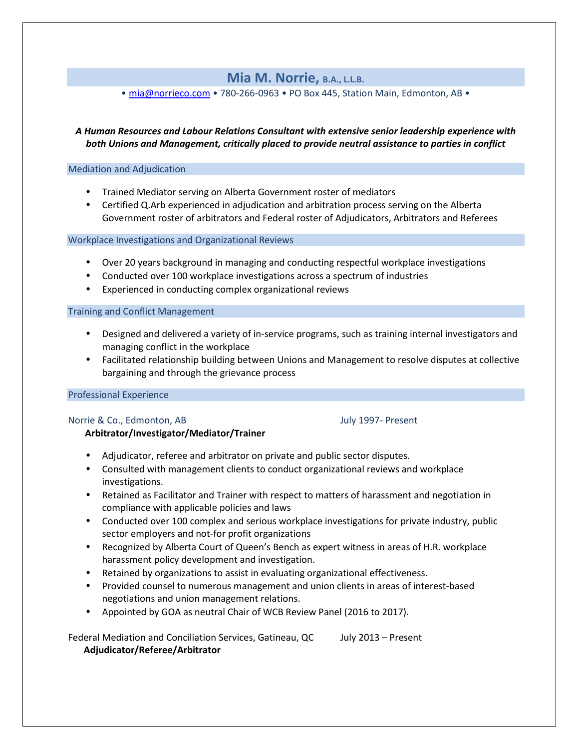# **Mia M. Norrie, B.A., L.L.B.**

• [mia@norrieco.com](mailto:mia@norrieco.com) • 780-266-0963 • PO Box 445, Station Main, Edmonton, AB •

*A Human Resources and Labour Relations Consultant with extensive senior leadership experience with both Unions and Management, critically placed to provide neutral assistance to parties in conflict*

### Mediation and Adjudication

- Trained Mediator serving on Alberta Government roster of mediators
- Certified Q.Arb experienced in adjudication and arbitration process serving on the Alberta Government roster of arbitrators and Federal roster of Adjudicators, Arbitrators and Referees

Workplace Investigations and Organizational Reviews

- Over 20 years background in managing and conducting respectful workplace investigations
- Conducted over 100 workplace investigations across a spectrum of industries
- Experienced in conducting complex organizational reviews

### Training and Conflict Management

- Designed and delivered a variety of in-service programs, such as training internal investigators and managing conflict in the workplace
- Facilitated relationship building between Unions and Management to resolve disputes at collective bargaining and through the grievance process

### Professional Experience

### Norrie & Co., Edmonton, AB July 1997- Present

## **Arbitrator/Investigator/Mediator/Trainer**

- Adjudicator, referee and arbitrator on private and public sector disputes.
- Consulted with management clients to conduct organizational reviews and workplace investigations.
- Retained as Facilitator and Trainer with respect to matters of harassment and negotiation in compliance with applicable policies and laws
- Conducted over 100 complex and serious workplace investigations for private industry, public sector employers and not-for profit organizations
- Recognized by Alberta Court of Queen's Bench as expert witness in areas of H.R. workplace harassment policy development and investigation.
- Retained by organizations to assist in evaluating organizational effectiveness.
- Provided counsel to numerous management and union clients in areas of interest-based negotiations and union management relations.
- Appointed by GOA as neutral Chair of WCB Review Panel (2016 to 2017).

Federal Mediation and Conciliation Services, Gatineau, QC July 2013 – Present **Adjudicator/Referee/Arbitrator**